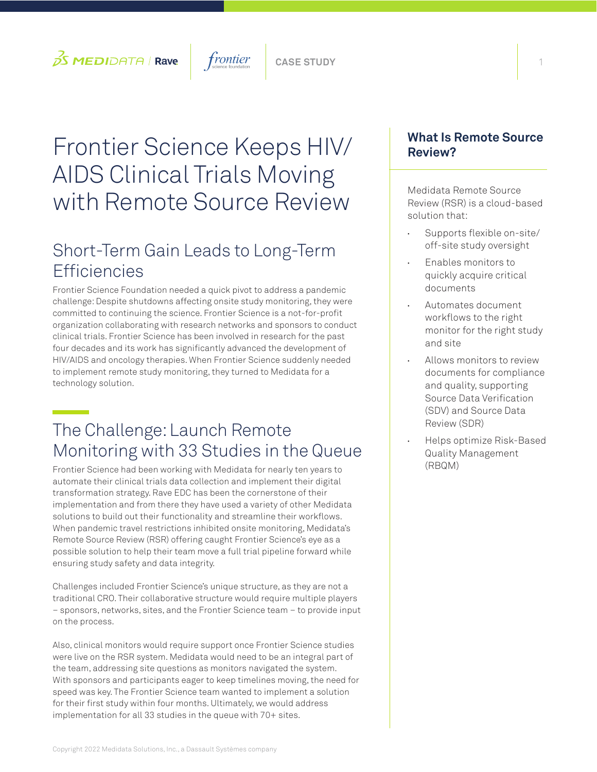## $\beta$ S **MEDI**DATA | **Rave**  $\vert$  frontier  $\vert$  case study

# Frontier Science Keeps HIV/ AIDS Clinical Trials Moving with Remote Source Review

### Short-Term Gain Leads to Long-Term **Efficiencies**

Frontier Science Foundation needed a quick pivot to address a pandemic challenge: Despite shutdowns affecting onsite study monitoring, they were committed to continuing the science. Frontier Science is a not-for-profit organization collaborating with research networks and sponsors to conduct clinical trials. Frontier Science has been involved in research for the past four decades and its work has significantly advanced the development of HIV/AIDS and oncology therapies. When Frontier Science suddenly needed to implement remote study monitoring, they turned to Medidata for a technology solution.

# The Challenge: Launch Remote Monitoring with 33 Studies in the Queue

Frontier Science had been working with Medidata for nearly ten years to automate their clinical trials data collection and implement their digital transformation strategy. Rave EDC has been the cornerstone of their implementation and from there they have used a variety of other Medidata solutions to build out their functionality and streamline their workflows. When pandemic travel restrictions inhibited onsite monitoring, Medidata's Remote Source Review (RSR) offering caught Frontier Science's eye as a possible solution to help their team move a full trial pipeline forward while ensuring study safety and data integrity.

Challenges included Frontier Science's unique structure, as they are not a traditional CRO. Their collaborative structure would require multiple players – sponsors, networks, sites, and the Frontier Science team – to provide input on the process.

Also, clinical monitors would require support once Frontier Science studies were live on the RSR system. Medidata would need to be an integral part of the team, addressing site questions as monitors navigated the system. With sponsors and participants eager to keep timelines moving, the need for speed was key. The Frontier Science team wanted to implement a solution for their first study within four months. Ultimately, we would address implementation for all 33 studies in the queue with 70+ sites.

#### **What Is Remote Source Review?**

Medidata Remote Source Review (RSR) is a cloud-based solution that:

- **•** Supports flexible on-site/ off-site study oversight
- **•** Enables monitors to quickly acquire critical documents
- **•** Automates document workflows to the right monitor for the right study and site
- **•** Allows monitors to review documents for compliance and quality, supporting Source Data Verification (SDV) and Source Data Review (SDR)
- **•** Helps optimize Risk-Based Quality Management (RBQM)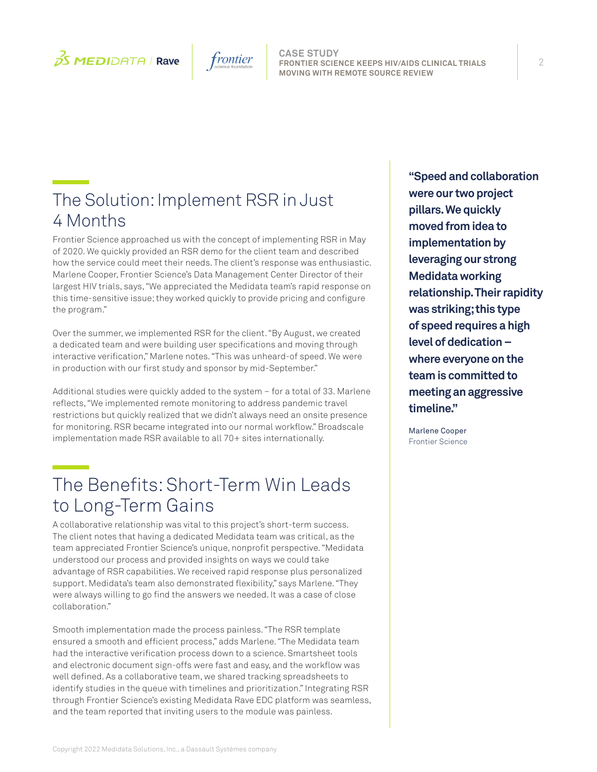



**CASE STUDY FRONTIER SCIENCE KEEPS HIV/AIDS CLINICAL TRIALS MOVING WITH REMOTE SOURCE REVIEW**

### The Solution: Implement RSR in Just 4 Months

Frontier Science approached us with the concept of implementing RSR in May of 2020. We quickly provided an RSR demo for the client team and described how the service could meet their needs. The client's response was enthusiastic. Marlene Cooper, Frontier Science's Data Management Center Director of their largest HIV trials, says, "We appreciated the Medidata team's rapid response on this time-sensitive issue; they worked quickly to provide pricing and configure the program."

Over the summer, we implemented RSR for the client. "By August, we created a dedicated team and were building user specifications and moving through interactive verification," Marlene notes. "This was unheard-of speed. We were in production with our first study and sponsor by mid-September."

Additional studies were quickly added to the system – for a total of 33. Marlene reflects, "We implemented remote monitoring to address pandemic travel restrictions but quickly realized that we didn't always need an onsite presence for monitoring. RSR became integrated into our normal workflow." Broadscale implementation made RSR available to all 70+ sites internationally.

### The Benefits: Short-Term Win Leads to Long-Term Gains

A collaborative relationship was vital to this project's short-term success. The client notes that having a dedicated Medidata team was critical, as the team appreciated Frontier Science's unique, nonprofit perspective. "Medidata understood our process and provided insights on ways we could take advantage of RSR capabilities. We received rapid response plus personalized support. Medidata's team also demonstrated flexibility," says Marlene. "They were always willing to go find the answers we needed. It was a case of close collaboration."

Smooth implementation made the process painless. "The RSR template ensured a smooth and efficient process," adds Marlene. "The Medidata team had the interactive verification process down to a science. Smartsheet tools and electronic document sign-offs were fast and easy, and the workflow was well defined. As a collaborative team, we shared tracking spreadsheets to identify studies in the queue with timelines and prioritization." Integrating RSR through Frontier Science's existing Medidata Rave EDC platform was seamless, and the team reported that inviting users to the module was painless.

**"Speed and collaboration were our two project pillars. We quickly moved from idea to implementation by leveraging our strong Medidata working relationship. Their rapidity was striking; this type of speed requires a high level of dedication – where everyone on the team is committed to meeting an aggressive timeline."** 

Marlene Cooper Frontier Science